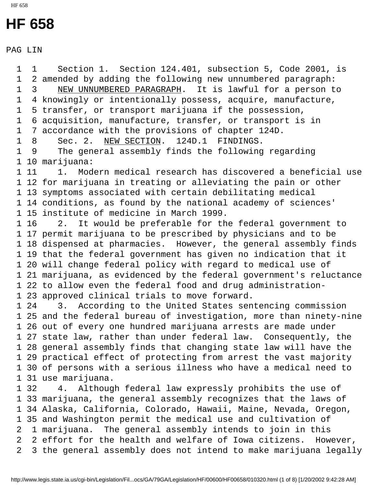## **HF 658**

PAG LIN

 1 1 Section 1. Section 124.401, subsection 5, Code 2001, is 1 2 amended by adding the following new unnumbered paragraph: 1 3 NEW UNNUMBERED PARAGRAPH. It is lawful for a person to 1 4 knowingly or intentionally possess, acquire, manufacture, 1 5 transfer, or transport marijuana if the possession, 1 6 acquisition, manufacture, transfer, or transport is in 1 7 accordance with the provisions of chapter 124D. 1 8 Sec. 2. NEW SECTION. 124D.1 FINDINGS. 1 9 The general assembly finds the following regarding 1 10 marijuana: 1 11 1. Modern medical research has discovered a beneficial use 1 12 for marijuana in treating or alleviating the pain or other 1 13 symptoms associated with certain debilitating medical 1 14 conditions, as found by the national academy of sciences' 1 15 institute of medicine in March 1999. 1 16 2. It would be preferable for the federal government to 1 17 permit marijuana to be prescribed by physicians and to be 1 18 dispensed at pharmacies. However, the general assembly finds 1 19 that the federal government has given no indication that it 1 20 will change federal policy with regard to medical use of 1 21 marijuana, as evidenced by the federal government's reluctance 1 22 to allow even the federal food and drug administration- 1 23 approved clinical trials to move forward. 1 24 3. According to the United States sentencing commission 1 25 and the federal bureau of investigation, more than ninety-nine 1 26 out of every one hundred marijuana arrests are made under 1 27 state law, rather than under federal law. Consequently, the 1 28 general assembly finds that changing state law will have the 1 29 practical effect of protecting from arrest the vast majority 1 30 of persons with a serious illness who have a medical need to 1 31 use marijuana. 1 32 4. Although federal law expressly prohibits the use of 1 33 marijuana, the general assembly recognizes that the laws of 1 34 Alaska, California, Colorado, Hawaii, Maine, Nevada, Oregon, 1 35 and Washington permit the medical use and cultivation of 2 1 marijuana. The general assembly intends to join in this 2 2 effort for the health and welfare of Iowa citizens. However, 2 3 the general assembly does not intend to make marijuana legally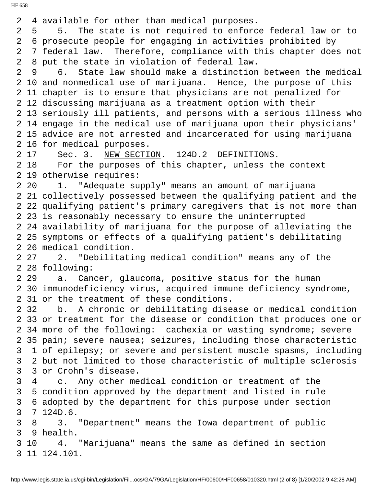2 4 available for other than medical purposes. 2 5 5. The state is not required to enforce federal law or to 2 6 prosecute people for engaging in activities prohibited by 2 7 federal law. Therefore, compliance with this chapter does not 2 8 put the state in violation of federal law. 2 9 6. State law should make a distinction between the medical 2 10 and nonmedical use of marijuana. Hence, the purpose of this 2 11 chapter is to ensure that physicians are not penalized for 2 12 discussing marijuana as a treatment option with their 2 13 seriously ill patients, and persons with a serious illness who 2 14 engage in the medical use of marijuana upon their physicians' 2 15 advice are not arrested and incarcerated for using marijuana 2 16 for medical purposes. 2 17 Sec. 3. NEW SECTION. 124D.2 DEFINITIONS. 2 18 For the purposes of this chapter, unless the context 2 19 otherwise requires: 2 20 1. "Adequate supply" means an amount of marijuana 2 21 collectively possessed between the qualifying patient and the 2 22 qualifying patient's primary caregivers that is not more than 2 23 is reasonably necessary to ensure the uninterrupted 2 24 availability of marijuana for the purpose of alleviating the 2 25 symptoms or effects of a qualifying patient's debilitating 2 26 medical condition. 2 27 2. "Debilitating medical condition" means any of the 2 28 following: 2 29 a. Cancer, glaucoma, positive status for the human 2 30 immunodeficiency virus, acquired immune deficiency syndrome, 2 31 or the treatment of these conditions. 2 32 b. A chronic or debilitating disease or medical condition 2 33 or treatment for the disease or condition that produces one or 2 34 more of the following: cachexia or wasting syndrome; severe 2 35 pain; severe nausea; seizures, including those characteristic 3 1 of epilepsy; or severe and persistent muscle spasms, including 3 2 but not limited to those characteristic of multiple sclerosis 3 3 or Crohn's disease. 3 4 c. Any other medical condition or treatment of the 3 5 condition approved by the department and listed in rule 3 6 adopted by the department for this purpose under section 3 7 124D.6. 3 8 3. "Department" means the Iowa department of public 3 9 health. 3 10 4. "Marijuana" means the same as defined in section 3 11 124.101.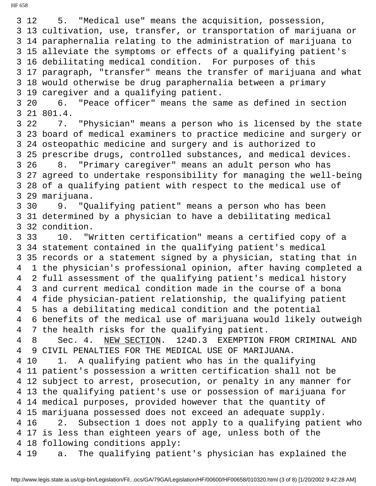3 12 5. "Medical use" means the acquisition, possession, 3 13 cultivation, use, transfer, or transportation of marijuana or 3 14 paraphernalia relating to the administration of marijuana to 3 15 alleviate the symptoms or effects of a qualifying patient's 3 16 debilitating medical condition. For purposes of this 3 17 paragraph, "transfer" means the transfer of marijuana and what 3 18 would otherwise be drug paraphernalia between a primary 3 19 caregiver and a qualifying patient. 3 20 6. "Peace officer" means the same as defined in section 3 21 801.4. 3 22 7. "Physician" means a person who is licensed by the state 3 23 board of medical examiners to practice medicine and surgery or 3 24 osteopathic medicine and surgery and is authorized to 3 25 prescribe drugs, controlled substances, and medical devices. 3 26 8. "Primary caregiver" means an adult person who has 3 27 agreed to undertake responsibility for managing the well-being 3 28 of a qualifying patient with respect to the medical use of 3 29 marijuana. 3 30 9. "Qualifying patient" means a person who has been 3 31 determined by a physician to have a debilitating medical 3 32 condition. 3 33 10. "Written certification" means a certified copy of a 3 34 statement contained in the qualifying patient's medical 3 35 records or a statement signed by a physician, stating that in 4 1 the physician's professional opinion, after having completed a 4 2 full assessment of the qualifying patient's medical history 4 3 and current medical condition made in the course of a bona 4 4 fide physician-patient relationship, the qualifying patient 4 5 has a debilitating medical condition and the potential 4 6 benefits of the medical use of marijuana would likely outweigh 4 7 the health risks for the qualifying patient. 4 8 Sec. 4. NEW SECTION. 124D.3 EXEMPTION FROM CRIMINAL AND 4 9 CIVIL PENALTIES FOR THE MEDICAL USE OF MARIJUANA. 4 10 1. A qualifying patient who has in the qualifying 4 11 patient's possession a written certification shall not be 4 12 subject to arrest, prosecution, or penalty in any manner for 4 13 the qualifying patient's use or possession of marijuana for 4 14 medical purposes, provided however that the quantity of 4 15 marijuana possessed does not exceed an adequate supply. 4 16 2. Subsection 1 does not apply to a qualifying patient who 4 17 is less than eighteen years of age, unless both of the 4 18 following conditions apply: 4 19 a. The qualifying patient's physician has explained the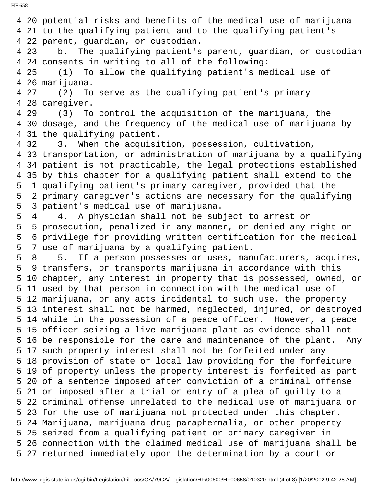4 20 potential risks and benefits of the medical use of marijuana 4 21 to the qualifying patient and to the qualifying patient's 4 22 parent, guardian, or custodian. 4 23 b. The qualifying patient's parent, guardian, or custodian 4 24 consents in writing to all of the following: 4 25 (1) To allow the qualifying patient's medical use of 4 26 marijuana. 4 27 (2) To serve as the qualifying patient's primary 4 28 caregiver. 4 29 (3) To control the acquisition of the marijuana, the 4 30 dosage, and the frequency of the medical use of marijuana by 4 31 the qualifying patient. 4 32 3. When the acquisition, possession, cultivation, 4 33 transportation, or administration of marijuana by a qualifying 4 34 patient is not practicable, the legal protections established 4 35 by this chapter for a qualifying patient shall extend to the 5 1 qualifying patient's primary caregiver, provided that the 5 2 primary caregiver's actions are necessary for the qualifying 5 3 patient's medical use of marijuana. 5 4 4. A physician shall not be subject to arrest or 5 5 prosecution, penalized in any manner, or denied any right or 5 6 privilege for providing written certification for the medical 5 7 use of marijuana by a qualifying patient. 5 8 5. If a person possesses or uses, manufacturers, acquires, 5 9 transfers, or transports marijuana in accordance with this 5 10 chapter, any interest in property that is possessed, owned, or 5 11 used by that person in connection with the medical use of 5 12 marijuana, or any acts incidental to such use, the property 5 13 interest shall not be harmed, neglected, injured, or destroyed 5 14 while in the possession of a peace officer. However, a peace 5 15 officer seizing a live marijuana plant as evidence shall not 5 16 be responsible for the care and maintenance of the plant. Any 5 17 such property interest shall not be forfeited under any 5 18 provision of state or local law providing for the forfeiture 5 19 of property unless the property interest is forfeited as part 5 20 of a sentence imposed after conviction of a criminal offense 5 21 or imposed after a trial or entry of a plea of guilty to a 5 22 criminal offense unrelated to the medical use of marijuana or 5 23 for the use of marijuana not protected under this chapter. 5 24 Marijuana, marijuana drug paraphernalia, or other property 5 25 seized from a qualifying patient or primary caregiver in 5 26 connection with the claimed medical use of marijuana shall be 5 27 returned immediately upon the determination by a court or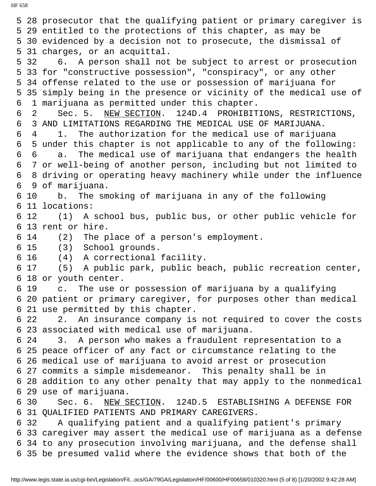5 28 prosecutor that the qualifying patient or primary caregiver is 5 29 entitled to the protections of this chapter, as may be 5 30 evidenced by a decision not to prosecute, the dismissal of 5 31 charges, or an acquittal. 5 32 6. A person shall not be subject to arrest or prosecution 5 33 for "constructive possession", "conspiracy", or any other 5 34 offense related to the use or possession of marijuana for 5 35 simply being in the presence or vicinity of the medical use of 6 1 marijuana as permitted under this chapter. 6 2 Sec. 5. NEW SECTION. 124D.4 PROHIBITIONS, RESTRICTIONS, 6 3 AND LIMITATIONS REGARDING THE MEDICAL USE OF MARIJUANA. 6 4 1. The authorization for the medical use of marijuana 6 5 under this chapter is not applicable to any of the following: 6 6 a. The medical use of marijuana that endangers the health 6 7 or well-being of another person, including but not limited to 6 8 driving or operating heavy machinery while under the influence 6 9 of marijuana. 6 10 b. The smoking of marijuana in any of the following 6 11 locations: 6 12 (1) A school bus, public bus, or other public vehicle for 6 13 rent or hire. 6 14 (2) The place of a person's employment. 6 15 (3) School grounds. 6 16 (4) A correctional facility. 6 17 (5) A public park, public beach, public recreation center, 6 18 or youth center. 6 19 c. The use or possession of marijuana by a qualifying 6 20 patient or primary caregiver, for purposes other than medical 6 21 use permitted by this chapter. 6 22 2. An insurance company is not required to cover the costs 6 23 associated with medical use of marijuana. 6 24 3. A person who makes a fraudulent representation to a 6 25 peace officer of any fact or circumstance relating to the 6 26 medical use of marijuana to avoid arrest or prosecution 6 27 commits a simple misdemeanor. This penalty shall be in 6 28 addition to any other penalty that may apply to the nonmedical 6 29 use of marijuana. 6 30 Sec. 6. NEW SECTION. 124D.5 ESTABLISHING A DEFENSE FOR 6 31 QUALIFIED PATIENTS AND PRIMARY CAREGIVERS. 6 32 A qualifying patient and a qualifying patient's primary 6 33 caregiver may assert the medical use of marijuana as a defense 6 34 to any prosecution involving marijuana, and the defense shall 6 35 be presumed valid where the evidence shows that both of the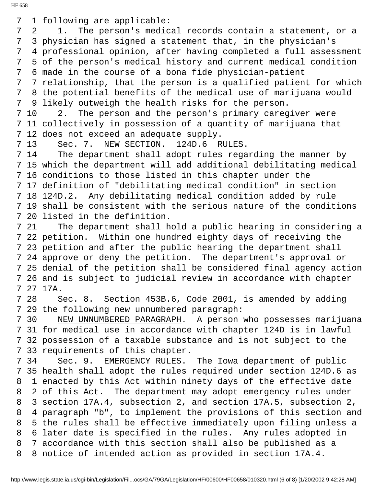7 1 following are applicable:

 7 2 1. The person's medical records contain a statement, or a 7 3 physician has signed a statement that, in the physician's 7 4 professional opinion, after having completed a full assessment 7 5 of the person's medical history and current medical condition 7 6 made in the course of a bona fide physician-patient 7 7 relationship, that the person is a qualified patient for which

 7 8 the potential benefits of the medical use of marijuana would 7 9 likely outweigh the health risks for the person.

 7 10 2. The person and the person's primary caregiver were 7 11 collectively in possession of a quantity of marijuana that 7 12 does not exceed an adequate supply.

7 13 Sec. 7. NEW SECTION. 124D.6 RULES.

 7 14 The department shall adopt rules regarding the manner by 7 15 which the department will add additional debilitating medical 7 16 conditions to those listed in this chapter under the 7 17 definition of "debilitating medical condition" in section 7 18 124D.2. Any debilitating medical condition added by rule 7 19 shall be consistent with the serious nature of the conditions 7 20 listed in the definition.

 7 21 The department shall hold a public hearing in considering a 7 22 petition. Within one hundred eighty days of receiving the 7 23 petition and after the public hearing the department shall 7 24 approve or deny the petition. The department's approval or 7 25 denial of the petition shall be considered final agency action 7 26 and is subject to judicial review in accordance with chapter 7 27 17A.

 7 28 Sec. 8. Section 453B.6, Code 2001, is amended by adding 7 29 the following new unnumbered paragraph:

7 30 NEW UNNUMBERED PARAGRAPH. A person who possesses marijuana 7 31 for medical use in accordance with chapter 124D is in lawful 7 32 possession of a taxable substance and is not subject to the 7 33 requirements of this chapter.

 7 34 Sec. 9. EMERGENCY RULES. The Iowa department of public 7 35 health shall adopt the rules required under section 124D.6 as 8 1 enacted by this Act within ninety days of the effective date 8 2 of this Act. The department may adopt emergency rules under 8 3 section 17A.4, subsection 2, and section 17A.5, subsection 2, 8 4 paragraph "b", to implement the provisions of this section and 8 5 the rules shall be effective immediately upon filing unless a 8 6 later date is specified in the rules. Any rules adopted in 8 7 accordance with this section shall also be published as a 8 8 notice of intended action as provided in section 17A.4.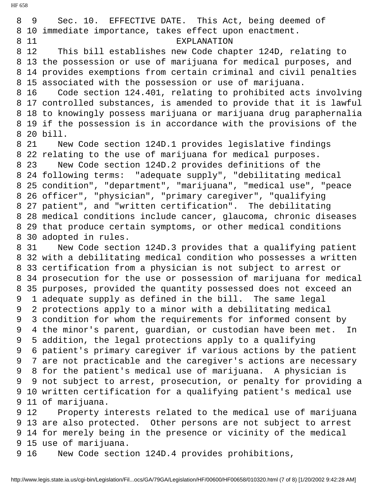8 9 Sec. 10. EFFECTIVE DATE. This Act, being deemed of 8 10 immediate importance, takes effect upon enactment. 8 11 EXPLANATION 8 12 This bill establishes new Code chapter 124D, relating to 8 13 the possession or use of marijuana for medical purposes, and 8 14 provides exemptions from certain criminal and civil penalties 8 15 associated with the possession or use of marijuana. 8 16 Code section 124.401, relating to prohibited acts involving 8 17 controlled substances, is amended to provide that it is lawful 8 18 to knowingly possess marijuana or marijuana drug paraphernalia 8 19 if the possession is in accordance with the provisions of the 8 20 bill. 8 21 New Code section 124D.1 provides legislative findings 8 22 relating to the use of marijuana for medical purposes. 8 23 New Code section 124D.2 provides definitions of the 8 24 following terms: "adequate supply", "debilitating medical 8 25 condition", "department", "marijuana", "medical use", "peace 8 26 officer", "physician", "primary caregiver", "qualifying 8 27 patient", and "written certification". The debilitating 8 28 medical conditions include cancer, glaucoma, chronic diseases 8 29 that produce certain symptoms, or other medical conditions 8 30 adopted in rules. 8 31 New Code section 124D.3 provides that a qualifying patient 8 32 with a debilitating medical condition who possesses a written 8 33 certification from a physician is not subject to arrest or 8 34 prosecution for the use or possession of marijuana for medical 8 35 purposes, provided the quantity possessed does not exceed an 9 1 adequate supply as defined in the bill. The same legal 9 2 protections apply to a minor with a debilitating medical 9 3 condition for whom the requirements for informed consent by 9 4 the minor's parent, guardian, or custodian have been met. In 9 5 addition, the legal protections apply to a qualifying 9 6 patient's primary caregiver if various actions by the patient 9 7 are not practicable and the caregiver's actions are necessary 9 8 for the patient's medical use of marijuana. A physician is 9 9 not subject to arrest, prosecution, or penalty for providing a 9 10 written certification for a qualifying patient's medical use 9 11 of marijuana. 9 12 Property interests related to the medical use of marijuana 9 13 are also protected. Other persons are not subject to arrest 9 14 for merely being in the presence or vicinity of the medical 9 15 use of marijuana. 9 16 New Code section 124D.4 provides prohibitions,